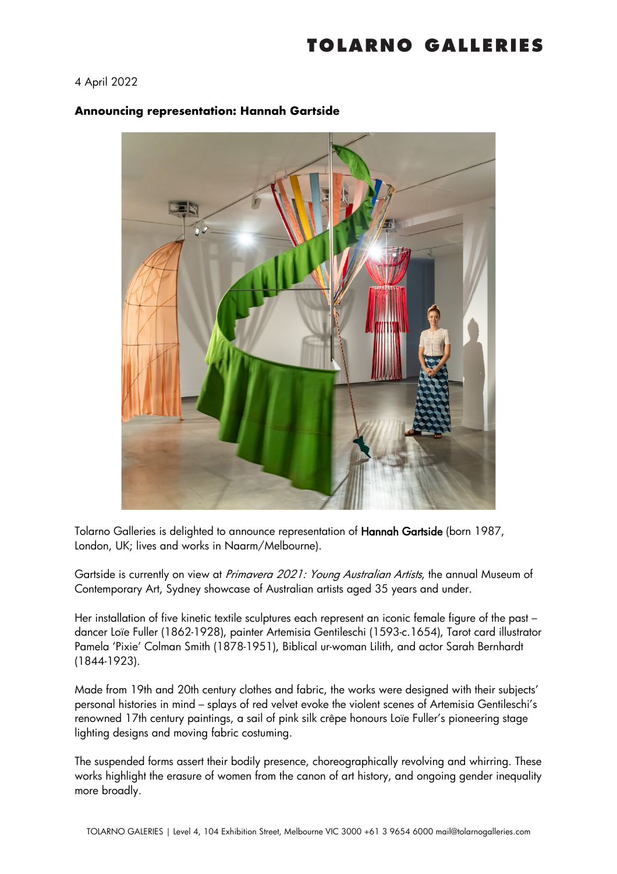## TOLARNO GALLERIES

## 4 April 2022

## **Announcing representation: Hannah Gartside**



Tolarno Galleries is delighted to announce representation of Hannah Gartside (born 1987, London, UK; lives and works in Naarm/Melbourne).

Gartside is currently on view at Primavera 2021: Young Australian Artists, the annual Museum of Contemporary Art, Sydney showcase of Australian artists aged 35 years and under.

Her installation of five kinetic textile sculptures each represent an iconic female figure of the past dancer Loïe Fuller (1862-1928), painter Artemisia Gentileschi (1593-c.1654), Tarot card illustrator Pamela 'Pixie' Colman Smith (1878-1951), Biblical ur-woman Lilith, and actor Sarah Bernhardt (1844-1923).

Made from 19th and 20th century clothes and fabric, the works were designed with their subjects' personal histories in mind – splays of red velvet evoke the violent scenes of Artemisia Gentileschi's renowned 17th century paintings, a sail of pink silk crêpe honours Loïe Fuller's pioneering stage lighting designs and moving fabric costuming.

The suspended forms assert their bodily presence, choreographically revolving and whirring. These works highlight the erasure of women from the canon of art history, and ongoing gender inequality more broadly.